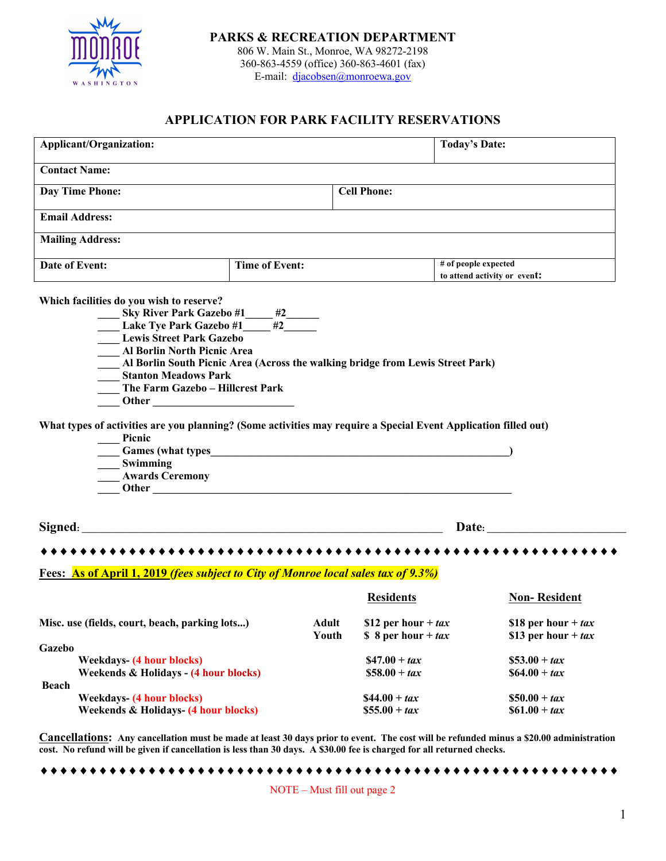

**PARKS & RECREATION DEPARTMENT** 806 W. Main St., Monroe, WA 98272-2198

360-863-4559 (office) 360-863-4601 (fax) E-mail: djacobsen@monroewa.gov

## **APPLICATION FOR PARK FACILITY RESERVATIONS**

| <b>Applicant/Organization:</b>                                                                                                                                                                                                                                                                                                                                                                                                                        |                                                                                                                                                                                                                                                                                                                  |                                                         | <b>Today's Date:</b>                                                                                                                                                                                                          |                                                |  |  |
|-------------------------------------------------------------------------------------------------------------------------------------------------------------------------------------------------------------------------------------------------------------------------------------------------------------------------------------------------------------------------------------------------------------------------------------------------------|------------------------------------------------------------------------------------------------------------------------------------------------------------------------------------------------------------------------------------------------------------------------------------------------------------------|---------------------------------------------------------|-------------------------------------------------------------------------------------------------------------------------------------------------------------------------------------------------------------------------------|------------------------------------------------|--|--|
| <b>Contact Name:</b>                                                                                                                                                                                                                                                                                                                                                                                                                                  |                                                                                                                                                                                                                                                                                                                  |                                                         |                                                                                                                                                                                                                               |                                                |  |  |
| <b>Day Time Phone:</b>                                                                                                                                                                                                                                                                                                                                                                                                                                |                                                                                                                                                                                                                                                                                                                  | <b>Cell Phone:</b>                                      |                                                                                                                                                                                                                               |                                                |  |  |
| <b>Email Address:</b>                                                                                                                                                                                                                                                                                                                                                                                                                                 |                                                                                                                                                                                                                                                                                                                  |                                                         |                                                                                                                                                                                                                               |                                                |  |  |
| <b>Mailing Address:</b>                                                                                                                                                                                                                                                                                                                                                                                                                               |                                                                                                                                                                                                                                                                                                                  |                                                         |                                                                                                                                                                                                                               |                                                |  |  |
| Date of Event:                                                                                                                                                                                                                                                                                                                                                                                                                                        | <b>Time of Event:</b>                                                                                                                                                                                                                                                                                            |                                                         | # of people expected<br>to attend activity or event:                                                                                                                                                                          |                                                |  |  |
| Which facilities do you wish to reserve?<br>______ Sky River Park Gazebo #1______ #2_______<br>______ Lake Tye Park Gazebo #1______ #2_______<br><b>Lewis Street Park Gazebo</b><br>Al Borlin North Picnic Area<br><b>Stanton Meadows Park</b><br>The Farm Gazebo - Hillcrest Park<br>What types of activities are you planning? (Some activities may require a Special Event Application filled out)<br>Picnic<br>Swimming<br><b>Awards Ceremony</b> | Al Borlin South Picnic Area (Across the walking bridge from Lewis Street Park)<br>Games (what types express that types experiences are seen as a set of the second second second second second second second second second second second second second second second second second second second second second s |                                                         |                                                                                                                                                                                                                               |                                                |  |  |
|                                                                                                                                                                                                                                                                                                                                                                                                                                                       |                                                                                                                                                                                                                                                                                                                  |                                                         | Date: and the contract of the contract of the contract of the contract of the contract of the contract of the contract of the contract of the contract of the contract of the contract of the contract of the contract of the |                                                |  |  |
|                                                                                                                                                                                                                                                                                                                                                                                                                                                       |                                                                                                                                                                                                                                                                                                                  |                                                         |                                                                                                                                                                                                                               |                                                |  |  |
| Fees: As of April 1, 2019 (fees subject to City of Monroe local sales tax of 9.3%)                                                                                                                                                                                                                                                                                                                                                                    |                                                                                                                                                                                                                                                                                                                  |                                                         |                                                                                                                                                                                                                               |                                                |  |  |
|                                                                                                                                                                                                                                                                                                                                                                                                                                                       |                                                                                                                                                                                                                                                                                                                  | <b>Residents</b>                                        |                                                                                                                                                                                                                               | <b>Non-Resident</b>                            |  |  |
| Misc. use (fields, court, beach, parking lots)<br>Gazebo                                                                                                                                                                                                                                                                                                                                                                                              | <b>Adult</b><br>Youth                                                                                                                                                                                                                                                                                            | \$12 per hour + $tax$<br>$\frac{1}{2}$ 8 per hour + tax |                                                                                                                                                                                                                               | \$18 per hour + $tax$<br>\$13 per hour + $tax$ |  |  |
| <b>Weekdays-</b> (4 hour blocks)                                                                                                                                                                                                                                                                                                                                                                                                                      |                                                                                                                                                                                                                                                                                                                  | $$47.00 + tax$                                          | $$53.00 + tax$                                                                                                                                                                                                                |                                                |  |  |
| Weekends & Holidays - (4 hour blocks)                                                                                                                                                                                                                                                                                                                                                                                                                 |                                                                                                                                                                                                                                                                                                                  | $$58.00 + tax$                                          | $$64.00 + tax$                                                                                                                                                                                                                |                                                |  |  |
| Beach                                                                                                                                                                                                                                                                                                                                                                                                                                                 |                                                                                                                                                                                                                                                                                                                  |                                                         |                                                                                                                                                                                                                               |                                                |  |  |
| <b>Weekdays-</b> (4 hour blocks)<br><b>Weekends &amp; Holidays- (4 hour blocks)</b>                                                                                                                                                                                                                                                                                                                                                                   |                                                                                                                                                                                                                                                                                                                  | $$44.00 + tax$<br>$$55.00 + tax$                        | $$50.00 + tax$<br>$$61.00 + tax$                                                                                                                                                                                              |                                                |  |  |
| <b>Cancellations:</b> Any cancellation must be made at least 30 days prior to event. The cost will be refunded minus a \$20.00 administration                                                                                                                                                                                                                                                                                                         |                                                                                                                                                                                                                                                                                                                  |                                                         |                                                                                                                                                                                                                               |                                                |  |  |

¨¨¨¨¨¨¨¨¨¨¨¨¨¨¨¨¨¨¨¨¨¨¨¨¨¨¨¨¨¨¨¨¨¨¨¨¨¨¨¨¨¨¨¨¨¨¨¨¨¨¨¨¨¨¨¨¨¨¨ NOTE – Must fill out page 2

**cost. No refund will be given if cancellation is less than 30 days. A \$30.00 fee is charged for all returned checks.**